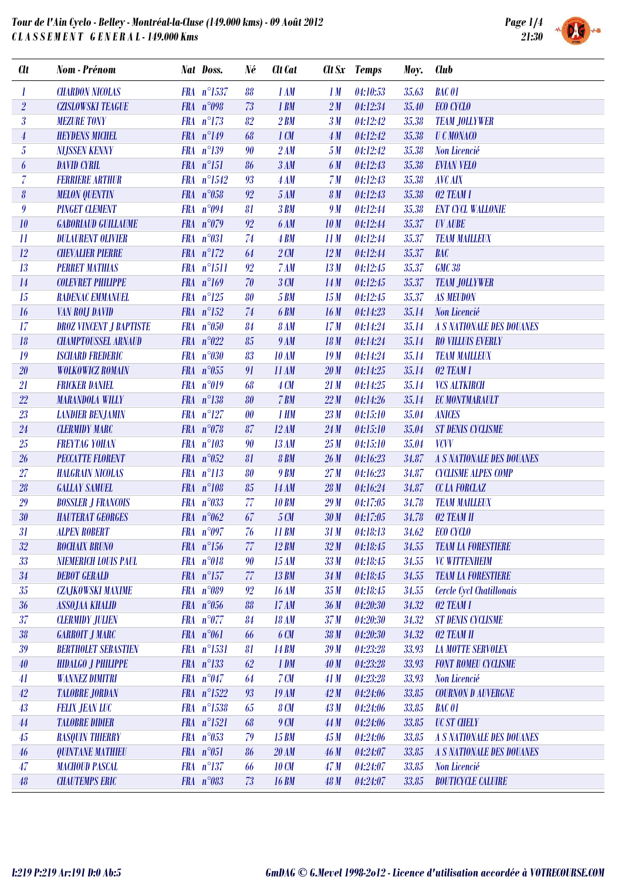

| <b>Clt</b>                 | Nom - Prénom                   | Nat Doss.            | Né                    | Clt Cat          |                 | Clt Sx Temps | Moy.  | <b>Club</b>                      |
|----------------------------|--------------------------------|----------------------|-----------------------|------------------|-----------------|--------------|-------|----------------------------------|
| 1                          | <b>CHARDON NICOLAS</b>         | FRA n°1537           | 88                    | 1AM              | 1M              | 04:10:53     | 35.63 | <b>BAC 01</b>                    |
| $\overline{2}$             | <b>CZISLOWSKI TEAGUE</b>       | FRA $n^{\circ}098$   | 73                    | 1 BM             | 2M              | 04:12:34     | 35.40 | ECO CYCLO                        |
| $\overline{\mathfrak{z}}$  | <b>MEZURE TONY</b>             | $FRA n^{\circ}173$   | 82                    | $2$ BM           | 3M              | 04:12:42     | 35.38 | <b>TEAM JOLLYWER</b>             |
| $\overline{4}$             | <b>HEYDENS MICHEL</b>          | FRA $n^{\circ}149$   | 68                    | $1 \, \text{CM}$ | 4M              | 04:12:42     | 35.38 | <b>U C MONACO</b>                |
| $\overline{5}$             | <b>NIJSSEN KENNY</b>           | $FRA n^{\circ}139$   | 90                    | 2AM              | 5M              | 04:12:42     | 35.38 | Non Licencié                     |
| $\boldsymbol{\theta}$      | <b>DAVID CYRIL</b>             | $FRA n^{\circ}151$   | 86                    | 3AM              | 6 M             | 04:12:43     | 35.38 | <b>EVIAN VELO</b>                |
| $\overline{7}$             | <b>FERRIERE ARTHUR</b>         | FRA n°1542           | 93                    | 4AM              | 7 <sub>M</sub>  | 04:12:43     | 35.38 | <b>AVC AIX</b>                   |
| 8                          | <b>MELON QUENTIN</b>           | FRA n°058            | 92                    | 5AM              | 8 <sub>M</sub>  | 04:12:43     | 35.38 | 02 TEAM I                        |
| $\boldsymbol{g}$           | <b>PINGET CLEMENT</b>          | FRA $n^{\circ}094$   | 81                    | 3BM              | 9 M             | 04:12:44     | 35.38 | <b>ENT CYCL WALLONIE</b>         |
| 10                         | <b>GABORIAUD GUILLAUME</b>     | FRA $n^{\circ}079$   | 92                    | <b>6 AM</b>      | 10 <sub>M</sub> | 04:12:44     | 35.37 | <b>UV AUBE</b>                   |
| $\boldsymbol{\mathit{11}}$ | <b>DULAURENT OLIVIER</b>       | FRA n°031            | 74                    | <b>4 BM</b>      | 11M             | 04:12:44     | 35.37 | <b>TEAM MAILLEUX</b>             |
| 12                         | <b>CHEVALIER PIERRE</b>        | $FRA$ $n^{\circ}172$ | 64                    | 2CM              | 12M             | 04:12:44     | 35.37 | BAC                              |
| 13                         | <b>PERRET MATHIAS</b>          | FRA n°1511           | 92                    | 7AM              | 13M             | 04:12:45     | 35.37 | <b>GMC 38</b>                    |
| $14\,$                     | <b>COLEVRET PHILIPPE</b>       | FRA $n^{\circ}169$   | 70                    | 3CM              | 14M             | 04:12:45     | 35.37 | <b>TEAM JOLLYWER</b>             |
| 15                         | RADENAC EMMANUEL               | $FRA$ $n^{\circ}125$ | 80                    | <b>5 BM</b>      | 15M             | 04:12:45     | 35.37 | <b>AS MEUDON</b>                 |
| 16                         | <b>VAN ROLJ DAVID</b>          | $FRA n^{\circ}152$   | 74                    | <b>6 BM</b>      | 16M             | 04:14:23     | 35.14 | Non Licencié                     |
| 17                         | <b>DROZ VINCENT J BAPTISTE</b> | FRA n°050            | 84                    | <b>8 AM</b>      | 17M             | 04:14:24     | 35.14 | <b>A S NATIONALE DES DOUANES</b> |
| 18                         | <b>CHAMPTOUSSEL ARNAUD</b>     | FRA $n^{\circ}022$   | 85                    | 9 AM             | 18M             | 04:14:24     | 35.14 | <b>RO VILLUIS EVERLY</b>         |
| 19                         | <b>ISCHARD FREDERIC</b>        | FRA $n^{\circ}030$   | 83                    | <b>10 AM</b>     | 19M             | 04:14:24     | 35.14 | <b>TEAM MAILLEUX</b>             |
| 20                         | <b>WOLKOWICZ ROMAIN</b>        | FRA $n^{\circ}055$   | 91                    | 11 AM            | 20 <sub>M</sub> | 04:14:25     | 35.14 | 02 TEAM I                        |
| 21                         | <b>FRICKER DANIEL</b>          | FRA $n^{\circ}019$   | 68                    | <b>4 CM</b>      | 21M             | 04:14:25     | 35.14 | <b>VCS ALTKIRCH</b>              |
| $22\,$                     | <b>MARANDOLA WILLY</b>         | $FRA n^{\circ}138$   | 80                    | 7 BM             | 22M             | 04:14:26     | 35.14 | <b>EC MONTMARAULT</b>            |
| 23                         | <b>LANDIER BENJAMIN</b>        | $FRA n^{\circ}127$   | $\boldsymbol{\theta}$ | 1 HM             | 23M             | 04:15:10     | 35.04 | <b>ANICES</b>                    |
| 24                         | <b>CLERMIDY MARC</b>           | $FRA$ $n^{\circ}078$ | 87                    | 12AM             | 24M             | 04:15:10     | 35.04 | <b>ST DENIS CYCLISME</b>         |
| 25                         | <b>FREYTAG YOHAN</b>           | FRA $n^{\circ}103$   | 90                    | 13 AM            | 25M             | 04:15:10     | 35.04 | <b>VCVV</b>                      |
| 26                         | PECCATTE FLORENT               | FRA $n^{\circ}052$   | 81                    | <b>8 BM</b>      | 26M             | 04:16:23     | 34.87 | <b>A S NATIONALE DES DOUANES</b> |
| 27                         | <b>HALGRAIN NICOLAS</b>        | $FRA$ $n^{\circ}113$ | 80                    | <b>9 BM</b>      | 27M             | 04:16:23     | 34.87 | <b>CYCLISME ALPES COMP</b>       |
| $\sqrt{28}$                | <b>GALLAY SAMUEL</b>           | FRA $n^{\circ}108$   | 85                    | <b>14 AM</b>     | 28M             | 04:16:24     | 34.87 | <b>CC LA FORCLAZ</b>             |
| 29                         | <b>BOSSLER J FRANCOIS</b>      | FRA $n^{\circ}033$   | 77                    | <b>10 BM</b>     | 29M             | 04:17:05     | 34.78 | <b>TEAM MAILLEUX</b>             |
| $30\,$                     | <b>HAUTERAT GEORGES</b>        | FRA $n^{\circ}062$   | 67                    | 5 CM             | 30M             | 04:17:05     | 34.78 | 02 TEAM II                       |
| 31                         | <b>ALPEN ROBERT</b>            | FRA $n°097$          | 76                    | 11 BM            | 31M             | 04:18:13     | 34.62 | ECO CYCLO                        |
| 32                         | <b>ROCHAIX BRUNO</b>           | $FRA n^{\circ}156$   | 77                    | 12 BM            | 32M             | 04:18:45     | 34.55 | <b>TEAM LA FORESTIERE</b>        |
| 33                         | <b>NIEMERICH LOUIS PAUL</b>    | FRA n°018            | 90                    | 15 AM            | 33M             | 04:18:45     | 34.55 | <b>VC WITTENHEIM</b>             |
| $34\,$                     | <b>DEBOT GERALD</b>            | $FRA n^{\circ}157$   | 77                    | <b>13 BM</b>     | 34M             | 04:18:45     | 34.55 | <b>TEAM LA FORESTIERE</b>        |
| 35                         | <b>CZA,JKOWSKI MAXIME</b>      | FRA $n^{\circ}089$   | 92                    | <b>16 AM</b>     | 35 <sub>M</sub> | 04:18:45     | 34.55 | Cercle Cycl Chatillonais         |
| 36                         | <b>ASSOJAA KHALID</b>          | FRA n°056            | 88                    | 17 AM            | 36 <sub>M</sub> | 04:20:30     | 34.32 | 02 TEAM I                        |
| 37                         | <b>CLERMIDY JULIEN</b>         | $FRA$ $n^{\circ}077$ | 84                    | <b>18 AM</b>     | 37 <sub>M</sub> | 04:20:30     | 34.32 | <b>ST DENIS CYCLISME</b>         |
| 38                         | <b>GARROIT J MARC</b>          | FRA n°061            | 66                    | 6 CM             | 38 <sub>M</sub> | 04:20:30     | 34.32 | 02 TEAM II                       |
| 39                         | <b>BERTHOLET SEBASTIEN</b>     | FRA n°1531           | 81                    | <b>14 BM</b>     | 39M             | 04:23:28     | 33.93 | <b>LA MOTTE SERVOLEX</b>         |
| $40\,$                     | <b>HIDALGO J PHILIPPE</b>      | $FRA n^{\circ}133$   | 62                    | 1 DM             | 40M             | 04:23:28     | 33.93 | <b>FONT ROMEU CYCLISME</b>       |
| 41                         | <b>WANNEZ DIMITRI</b>          | FRA $n^{\circ}047$   | 64                    | 7CM              | 41 M            | 04:23:28     | 33.93 | Non Licencié                     |
| $42\,$                     | <b>TALOBRE JORDAN</b>          | FRA $n^{\circ}1522$  | 93                    | <b>19 AM</b>     | 42M             | 04:24:06     | 33.85 | <b>COURNON D AUVERGNE</b>        |
| 43                         | <b>FELIX JEAN LUC</b>          | FRA n°1538           | 65                    | <b>8 CM</b>      | 43M             | 04:24:06     | 33.85 | <b>BAC 01</b>                    |
| $44\,$                     | <b>TALOBRE DIDIER</b>          | $FRA n^{\circ}1521$  | 68                    | 9 CM             | 44M             | 04:24:06     | 33.85 | <b>UC ST CHELY</b>               |
| $45\,$                     | <b>RASQUIN THIERRY</b>         | FRA $n^{\circ}053$   | 79                    | <b>15 BM</b>     | 45M             | 04:24:06     | 33.85 | <b>A S NATIONALE DES DOUANES</b> |
| $46\,$                     | <b>QUINTANE MATHIEU</b>        | FRA n°051            | 86                    | <b>20 AM</b>     | 46M             | 04:24:07     | 33.85 | <b>A S NATIONALE DES DOUANES</b> |
| 47                         | <b>MACHOUD PASCAL</b>          | $FRA n^{\circ}137$   | 66                    | <b>10 CM</b>     | 47M             | 04:24:07     | 33.85 | Non Licencié                     |
| 48                         | <b>CHAUTEMPS ERIC</b>          | FRA n°083            | 73                    | <b>16 BM</b>     | 48 M            | 04:24:07     | 33.85 | <b>BOUTICYCLE CALUIRE</b>        |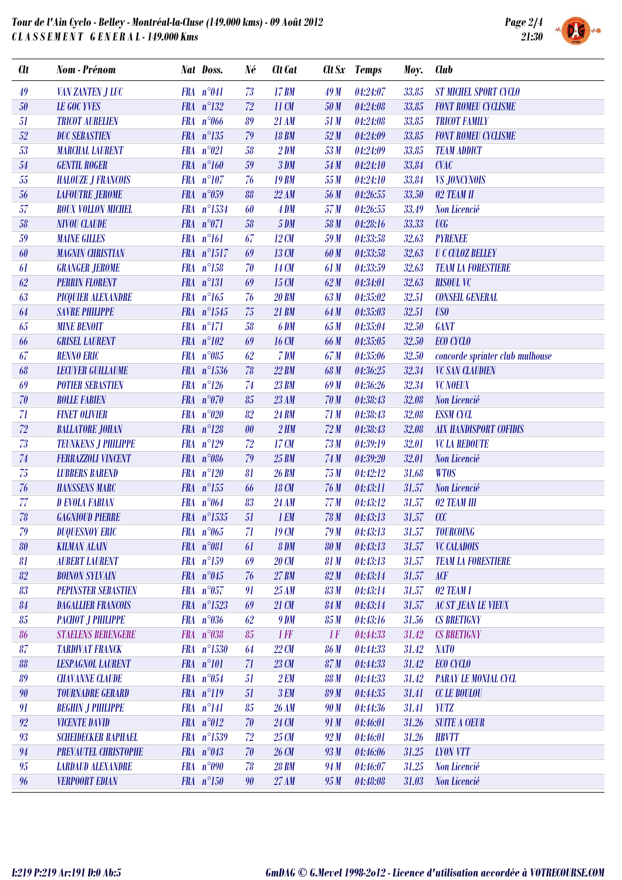

| <b>Clt</b>  | Nom - Prénom                | Nat Doss.             | Né       | <b>Clt</b> Cat  |                 | Clt Sx Temps | Moy.  | <b>Club</b>                     |
|-------------|-----------------------------|-----------------------|----------|-----------------|-----------------|--------------|-------|---------------------------------|
| 49          | <b>VAN ZANTEN J LUC</b>     | FRA $n^{\circ}041$    | 73       | <b>17 BM</b>    | 49M             | 04:24:07     | 33.85 | <b>ST MICHEL SPORT CYCLO</b>    |
| $50\,$      | <b>LE GOC YVES</b>          | $FRA n^{\circ}132$    | 72       | 11 CM           | 50 M            | 04:24:08     | 33.85 | <b>FONT ROMEU CYCLISME</b>      |
| 51          | <b>TRICOT AURELIEN</b>      | FRA n°066             | 89       | 21 AM           | 51 M            | 04:24:08     | 33.85 | <b>TRICOT FAMILY</b>            |
| $52\,$      | <b>DUC SEBASTIEN</b>        | $FRA$ $n^{\circ}135$  | 79       | <b>18 BM</b>    | 52M             | 04:24:09     | 33.85 | <b>FONT ROMEU CYCLISME</b>      |
| 53          | <b>MARCHAL LAURENT</b>      | FRA n°021             | 58       | 2 DM            | 53M             | 04:24:09     | 33.85 | <b>TEAM ADDICT</b>              |
| ${\it 54}$  | <b>GENTIL ROGER</b>         | FRA $n^{\circ}160$    | 59       | 3 DM            | 54 M            | 04:24:10     | 33.84 | <b>CVAC</b>                     |
| 55          | <b>HALOUZE J FRANCOIS</b>   | $FRA$ $n^{\circ}107$  | 76       | <b>19 BM</b>    | 55 M            | 04:24:10     | 33.84 | <b>VS JONCYNOIS</b>             |
| 56          | <b>LAFOUTRE JEROME</b>      | FRA $n^{\circ}059$    | 88       | 22 AM           | 56 M            | 04:26:55     | 33.50 | 02 TEAM II                      |
| 57          | <b>ROUX VOLLON MICHEL</b>   | FRA n°1534            | 60       | 4 DM            | 57M             | 04:26:55     | 33.49 | Non Licencié                    |
| 58          | <b>NIVOU CLAUDE</b>         | $FRA$ $n^{\circ}071$  | 58       | <b>5 DM</b>     | 58 M            | 04:28:16     | 33.33 | <b>UCG</b>                      |
| 59          | <b>MAINE GILLES</b>         | $FRA$ $n^{\circ}161$  | 67       | 12 CM           | 59 M            | 04:33:58     | 32.63 | <b>PYRENEE</b>                  |
| 60          | <b>MAGNIN CHRISTIAN</b>     | $FRA$ $n^{\circ}1517$ | 69       | 13 CM           | 60 M            | 04:33:58     | 32.63 | <b>U C CULOZ BELLEY</b>         |
| 61          | <b>GRANGER JEROME</b>       | $FRA$ $n^{\circ}158$  | 70       | 14 CM           | 61 M            | 04:33:59     | 32.63 | <b>TEAM LA FORESTIERE</b>       |
| 62          | <b>PERRIN FLORENT</b>       | $FRA n^{\circ}131$    | 69       | 15 CM           | 62M             | 04:34:01     | 32.63 | <b>RISOUL VC</b>                |
| 63          | <b>PICQUIER ALEXANDRE</b>   | $FRA n^{\circ}165$    | 76       | <b>20 BM</b>    | 63 M            | 04:35:02     | 32.51 | <b>CONSEIL GENERAL</b>          |
| 64          | <b>SAVRE PHILIPPE</b>       | FRA $n^{\circ}1545$   | 75       | 21 BM           | 64 M            | 04:35:03     | 32.51 | <b>USO</b>                      |
| 65          | <b>MINE BENOIT</b>          | $FRA$ $n^{\circ}171$  | 58       | 6 DM            | 65 M            | 04:35:04     | 32.50 | <b>GANT</b>                     |
| 66          | <b>GRISEL LAURENT</b>       | $FRA$ $n^{\circ}102$  | 69       | 16 CM           | 66 M            | 04:35:05     | 32.50 | <b>ECO CYCLO</b>                |
| 67          | <b>RENNO ERIC</b>           | FRA $n^{\circ}085$    | 62       | 7 DM            | 67 M            | 04:35:06     | 32.50 | concorde sprinter club mulhouse |
| 68          | <b>LECUYER GUILLAUME</b>    | $FRA n^{\circ}1536$   | 78       | <b>22 BM</b>    | 68 M            | 04:36:25     | 32.34 | <b>VC SAN CLAUDIEN</b>          |
| 69          | <b>POTIER SEBASTIEN</b>     | $FRA n^{\circ}126$    | 74       | <b>23 BM</b>    | 69 M            | 04:36:26     | 32.34 | <b>VC NOEUX</b>                 |
| 70          | <b>ROLLE FABIEN</b>         | $FRA$ $n^{\circ}070$  | 85       | 23 AM           | 70 <sub>M</sub> | 04:38:43     | 32.08 | Non Licencié                    |
| 71          | <b>FINET OLIVIER</b>        | FRA n°020             | 82       | <b>24 BM</b>    | 71M             | 04:38:43     | 32.08 | <b>ESSM CYCL</b>                |
| $\sqrt{72}$ | <b>BALLATORE JOHAN</b>      | $FRA$ $n^{\circ}128$  | $\theta$ | 2HM             | 72M             | 04:38:43     | 32.08 | <b>AIX HANDISPORT COFIDIS</b>   |
| 73          | <b>TEUNKENS J PHILIPPE</b>  | FRA $n^{\circ}129$    | 72       | 17 CM           | 73M             | 04:39:19     | 32.01 | <b>VC LA REDOUTE</b>            |
| $74\,$      | <b>FERRAZZOLI VINCENT</b>   | FRA n°086             | 79       | 25 BM           | 74 M            | 04:39:20     | 32.01 | Non Licencié                    |
| 75          | <b>LUBBERS BAREND</b>       | $FRA$ $n^{\circ}120$  | 81       | <b>26 BM</b>    | 75M             | 04:42:12     | 31.68 | <b>WTOS</b>                     |
| 76          | <b>HANSSENS MARC</b>        | $FRA n^{\circ}155$    | 66       | 18 CM           | 76 M            | 04:43:11     | 31.57 | Non Licencié                    |
| 77          | <b>D EVOLA FABIAN</b>       | FRA $n^{\circ}064$    | 83       | 24 AM           | 77M             | 04:43:12     | 31.57 | 02 TEAM III                     |
| 78          | <b>GAGNIOUD PIERRE</b>      | FRA n°1535            | 51       | 1 EM            | <b>78 M</b>     | 04:43:13     | 31.57 | cc                              |
| 79          | <b>DUQUESNOY ERIC</b>       | FRA $n^{\circ}065$    | 71       | 19CM            | 79M             | 04:43:13     | 31.57 | <b>TOURCOING</b>                |
| 80          | <b>KILMAN ALAIN</b>         | FRA n°081             | 61       | 8 DM            | <b>80 M</b>     | 04:43:13     | 31.57 | <b>VC CALADOIS</b>              |
| 81          | <b>AUBERT LAURENT</b>       | $FRA n^{\circ}159$    | 69       | 20 CM           | 81 M            | 04:43:13     | 31.57 | <b>TEAM LA FORESTIERE</b>       |
| 82          | <b>BOINON SYLVAIN</b>       | FRA $n^{\circ}045$    | 76       | <b>27 BM</b>    | 82M             | 04:43:14     | 31.57 | ACF                             |
| 83          | <b>PEPINSTER SEBASTIEN</b>  | FRA n°057             | 91       | 25AM            | 83 M            | 04:43:14     | 31.57 | 02 TEAM I                       |
| 84          | <b>DAGALLIER FRANCOIS</b>   | $FRA n^{\circ}1523$   | 69       | 21 CM           | 84 M            | 04:43:14     | 31.57 | <b>AC ST JEAN LE VIEUX</b>      |
| 85          | РАСНОТ Ј РНШРРЕ             | FRA n°036             | 62       | <b>9 DM</b>     | 85 M            | 04:43:16     | 31.56 | <b>CS BRETIGNY</b>              |
| 86          | <b>STAELENS BERENGERE</b>   | FRA n°038             | 85       | $1$ <i>FF</i>   | 1F              | 04:44:33     | 31.42 | <b>CS BRETIGNY</b>              |
| 87          | <b>TARDIVAT FRANCK</b>      | $FRA n^{\circ}1530$   | 64       | $22 \text{ C}M$ | <b>86 M</b>     | 04:44:33     | 31.42 | <b>NATO</b>                     |
| 88          | <b>LESPAGNOL LAURENT</b>    | FRA n°101             | 71       | 23 CM           | 87M             | 04:44:33     | 31.42 | <b>ECO CYCLO</b>                |
| 89          | <b>CHAVANNE CLAUDE</b>      | FRA $n^{\circ}054$    | 51       | 2EM             | <b>88 M</b>     | 04:44:33     | 31.42 | <b>PARAY LE MONIAL CYCL</b>     |
| 90          | <b>TOURNADRE GERARD</b>     | FRA n°119             | 51       | <b>3 EM</b>     | 89 M            | 04:44:35     | 31.41 | <b>CC LE BOULOU</b>             |
| 91          | <b>BEGHIN J PHILIPPE</b>    | $FRA n^{\circ}141$    | 85       | <b>26 AM</b>    | 90 M            | 04:44:36     | 31.41 | <b>YUTZ</b>                     |
| 92          | <b>VICENTE DAVID</b>        | FRA n°012             | 70       | 24 CM           | 91 M            | 04:46:01     | 31.26 | <b>SUITE A CŒUR</b>             |
| 93          | <b>SCHEIDECKER RAPHAEL</b>  | FRA n°1539            | 72       | 25 CM           | 92M             | 04:46:01     | 31.26 | <b>HBVTT</b>                    |
| 94          | <b>PREVAUTEL CHRISTOPHE</b> | FRA $n^{\circ}043$    | 70       | 26 CM           | 93M             | 04:46:06     | 31.25 | <b>LYON VTT</b>                 |
| 95          | <b>LARDAUD ALEXANDRE</b>    | FRA $n°090$           | 78       | <b>28 BM</b>    | 94 M            | 04:46:07     | 31.25 | Non Licencié                    |
| 96          | <b>VERPOORT EDIAN</b>       | $FRA n^{\circ}150$    | 90       | 27 AM           | 95M             | 04:48:08     | 31.03 | Non Licencié                    |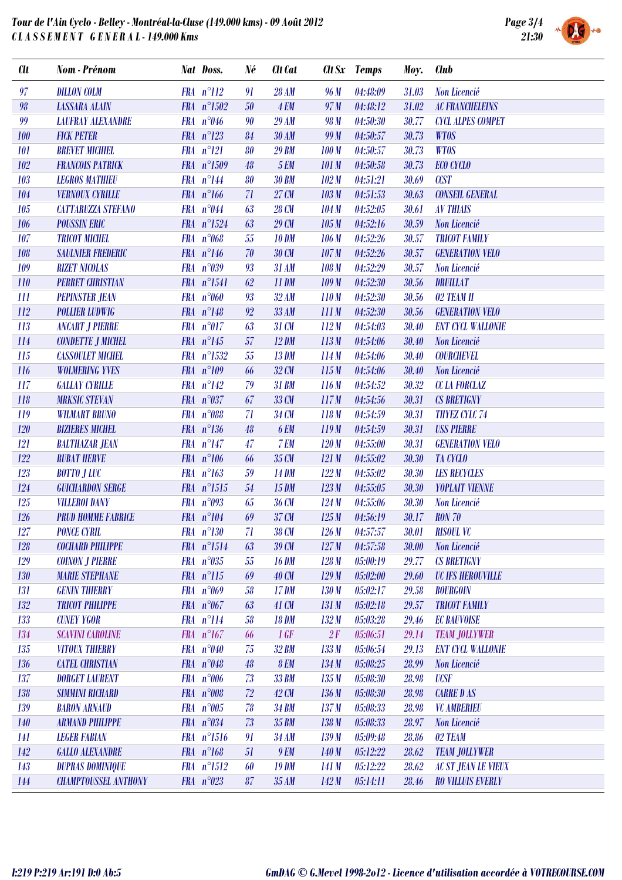

| <b>Clt</b> | Nom - Prénom                | Nat Doss.             | Né               | <b>Clt</b> Cat |                  | Clt Sx Temps     | Moy.  | <b>Club</b>                |
|------------|-----------------------------|-----------------------|------------------|----------------|------------------|------------------|-------|----------------------------|
| 97         | <b>DILLON COLM</b>          | $FRA n^{\circ}112$    | 91               | <b>28 AM</b>   | 96 M             | 04:48:09         | 31.03 | Non Licencié               |
| 98         | <b>LASSARA ALAIN</b>        | FRA n°1502            | $50\,$           | <b>4 EM</b>    | 97 M             | 04:48:12         | 31.02 | <b>AC FRANCHELEINS</b>     |
| 99         | <b>LAUFRAY ALEXANDRE</b>    | FRA $n^{\circ}046$    | 90               | <b>29 AM</b>   | 98 M             | 04:50:30         | 30.77 | <b>CYCL ALPES COMPET</b>   |
| 100        | <b>FICK PETER</b>           | $FRA$ $n^{\circ}123$  | 84               | 30AM           | 99 M             | 04:50:57         | 30.73 | <b>WTOS</b>                |
| 101        | <b>BREVET MICHIEL</b>       | $FRA n^{\circ}121$    | 80               | <b>29 BM</b>   | 100 M            | 04:50:57         | 30.73 | <b>WTOS</b>                |
| 102        | <b>FRANCOIS PATRICK</b>     | FRA n°1509            | 48               | <b>5 EM</b>    | 101M             | 04:50:58         | 30.73 | <b>ECO CYCLO</b>           |
| 103        | <b>LEGROS MATHIEU</b>       | $FRA n^{\circ}144$    | 80               | <b>30 BM</b>   | 102M             | 04:51:21         | 30.69 | <b>CCST</b>                |
| 104        | <b>VERNOUX CYRILLE</b>      | $FRA$ $n^{\circ}166$  | 71               | 27 CM          | 103 M            | 04:51:53         | 30.63 | <b>CONSEIL GENERAL</b>     |
| 105        | <b>CATTARUZZA STEFANO</b>   | FRA $n^{\circ}044$    | 63               | 28 CM          | 104M             | 04:52:05         | 30.61 | <b>AV THIAIS</b>           |
| 106        | <b>POUSSIN ERIC</b>         | FRA $n^{\circ}1524$   | 63               | 29 CM          | 105 M            | 04:52:16         | 30.59 | Non Licencié               |
| 107        | <b>TRICOT MICHEL</b>        | FRA n°068             | 55               | <b>10 DM</b>   | 106M             | 04:52:26         | 30.57 | <b>TRICOT FAMILY</b>       |
| 108        | <b>SAULNIER FREDERIC</b>    | FRA $n^{\circ}146$    | 70               | 30 CM          | 107M             | 04:52:26         | 30.57 | <b>GENERATION VELO</b>     |
| 109        | <b>RIZET NICOLAS</b>        | FRA $n^{\circ}039$    | 93               | 31 AM          | 108 M            | 04:52:29         | 30.57 | Non Licencié               |
| 110        | <b>PERRET CHRISTIAN</b>     | $FRA$ $n^{\circ}1541$ | 62               | <b>11 DM</b>   | 109M             | 04:52:30         | 30.56 | DRUILLAT                   |
| III        | <b>PEPINSTER JEAN</b>       | FRA $n^{\circ}060$    | 93               | 32AM           | 110M             | 04:52:30         | 30.56 | 02 TEAM II                 |
| 112        | <b>POLLIER LUDWIG</b>       | FRA $n^{\circ}148$    | $\mathfrak{g}_2$ | <b>33 AM</b>   | 111M             | 04:52:30         | 30.56 | <b>GENERATION VELO</b>     |
| 113        | <b>ANCART J PIERRE</b>      | $FRA$ $n^{\circ}017$  | 63               | 31 CM          | 112M             | 04:54:03         | 30.40 | <b>ENT CYCL WALLONIE</b>   |
| 114        | <b>CONDETTE J MICHEL</b>    | FRA $n^{\circ}145$    | 57               | $12$ DM        | 113M             | 04:54:06         | 30.40 | Non Licencié               |
| 115        | <b>CASSOULET MICHEL</b>     | FRA n°1532            | 55               | <b>13 DM</b>   | 114M             | 04:54:06         | 30.40 | <b>COURCHEVEL</b>          |
| <b>116</b> | <b>WOLMERING YVES</b>       | $FRA$ $n^{\circ}109$  | 66               | 32 CM          | 115M             | 04:54:06         | 30.40 | Non Licencié               |
| 117        | <b>GALLAY CYRILLE</b>       | $FRA n^{\circ}142$    | 79               | 31 BM          | 116M             | 04:54:52         | 30.32 | <b>CC LA FORCLAZ</b>       |
| 118        | <b>MRKSIC STEVAN</b>        | FRA $n^{\circ}037$    | 67               | 33 CM          | 117M             | 04:54:56         | 30.31 | <b>CS BRETIGNY</b>         |
| 119        | <b>WILMART BRUNO</b>        | FRA n°088             | 71               | 34 CM          | 118M             | 04:54:59         | 30.31 | <b>THYEZ CYLC 74</b>       |
| 120        | <b>BIZIERES MICHEL</b>      | $FRA n^{\circ}136$    | 48               | <b>6 EM</b>    | 119M             | 04:54:59         | 30.31 | <b>USS PIERRE</b>          |
| 121        | <b>BALTHAZAR JEAN</b>       | FRA $n^{\circ}147$    | 47               | 7 EM           | 120M             | 04:55:00         | 30.31 | <b>GENERATION VELO</b>     |
| 122        | <b>RUBAT HERVE</b>          | FRA $n^{\circ}106$    | 66               | 35 CM          | 121M             | 04:55:02         | 30.30 | <b>TA CYCLO</b>            |
| 123        | <b>BOTTO J LUC</b>          | $FRA n^{\circ}163$    | 59               | <b>14 DM</b>   | 122M             | 04:55:02         | 30.30 | <b>LES RECYCLES</b>        |
| 124        | <b>GUICHARDON SERGE</b>     | $FRA n^{\circ}1515$   | 54               | 15 DM          | 123M             | 04:55:05         | 30.30 | YOPLAIT VIENNE             |
| 125        | <b>VILLEROI DANY</b>        | FRA $n^{\circ}093$    | 65               | 36 CM          | 124M             | 04:55:06         | 30.30 | Non Licencié               |
| 126        | <b>PRUD HOMME FABRICE</b>   | FRA $n^{\circ}104$    | 69               | 37 CM          | 125M             | 04:56:19         | 30.17 | <b>RON 70</b>              |
| 127        | <b>PONCE CYRIL</b>          | $FRA n^{\circ}130$    | 71               | 38 CM          |                  | $126 M$ 04:57:57 |       | 30.01 RISOUL VC            |
| 128        | COCHARD PHILIPPE            | $FRA n^{\circ}1514$   | 63               | 39 CM          | 127M             | 04:57:58         | 30.00 | Non Licencié               |
| 129        | <b>COINON J PIERRE</b>      | FRA $n^{\circ}035$    | 55               | <b>16 DM</b>   | 128M             | 05:00:19         | 29.77 | <b>CS BRETIGNY</b>         |
| 130        | <b>MARIE STEPHANE</b>       | $FRA n^{\circ}115$    | 69               | <b>40 CM</b>   | 129M             | 05:02:00         | 29.60 | <b>UC IFS HEROUVILLE</b>   |
| 131        | <b>GENIN THIERRY</b>        | FRA $n^{\circ}069$    | 58               | 17 DM          | 130M             | 05:02:17         | 29.58 | <b>BOURGOIN</b>            |
| 132        | <b>TRICOT PHILIPPE</b>      | FRA $n^{\circ}067$    | 63               | 41 CM          | 131M             | 05:02:18         | 29.57 | <b>TRICOT FAMILY</b>       |
| 133        | <b>CUNEY YGOR</b>           | $FRA n^{\circ}114$    | 58               | <b>18 DM</b>   | 132M             | 05:03:28         | 29.46 | <b>EC BAUVOISE</b>         |
| 134        | <b>SCAVINI CAROLINE</b>     | $FRA n^{\circ}167$    | 66               | 1 GF           | 2F               | 05:06:51         | 29.14 | <b>TEAM JOLLYWER</b>       |
| 135        | <b>VITOUX THIERRY</b>       | FRA $n^{\circ}040$    | 75               | 32 BM          | 133M             | 05:06:54         | 29.13 | <b>ENT CYCL WALLONIE</b>   |
| 136        | <b>CATEL CHRISTIAN</b>      | FRA $n^{\circ}048$    | 48               | <b>8 EM</b>    | 134M             | 05:08:25         | 28.99 | Non Licencié               |
| 137        | <b>DORGET LAURENT</b>       | FRA n°006             | 73               | <b>33 BM</b>   | 135M             | 05:08:30         | 28.98 | <b>UCSF</b>                |
| 138        | <b>SIMMINI RICHARD</b>      | FRA n°008             | 72               | 42 CM          | 136M             | 05:08:30         | 28.98 | <b>CARRE D AS</b>          |
| 139        | <b>BARON ARNAUD</b>         | FRA $n^{\circ}005$    | 78               | 34 BM          | 137M             | 05:08:33         | 28.98 | <b>VC AMBERIEU</b>         |
| 140        | <b>ARMAND PHILIPPE</b>      | FRA $n^{\circ}034$    | 73               | 35 BM          | 138M             | 05:08:33         | 28.97 | Non Licencié               |
| 141        | <b>LEGER FABIAN</b>         | $FRA n^{\circ}1516$   | 91               | 34 AM          | 139M             | 05:09:48         | 28.86 | 02 TEAM                    |
| 142        | <b>GALLO ALEXANDRE</b>      | $FRA n^{\circ}168$    | 51               | 9 EM           | 140 <sub>M</sub> | 05:12:22         | 28.62 | <b>TEAM JOLLYWER</b>       |
| 143        | <b>DUPRAS DOMINIQUE</b>     | $FRA n^{\circ}1512$   | 60               | <b>19 DM</b>   | 141 M            | 05:12:22         | 28.62 | <b>AC ST JEAN LE VIEUX</b> |
| 144        | <b>CHAMPTOUSSEL ANTHONY</b> | FRA $n^{\circ}023$    | 87               | 35AM           | 142M             | 05:14:11         | 28.46 | <b>RO VILLUIS EVERLY</b>   |